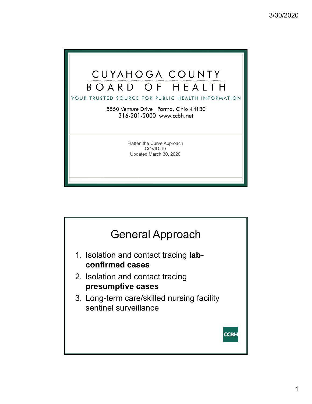

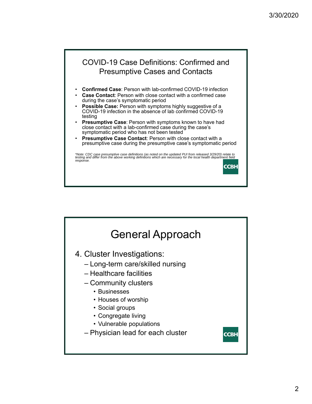

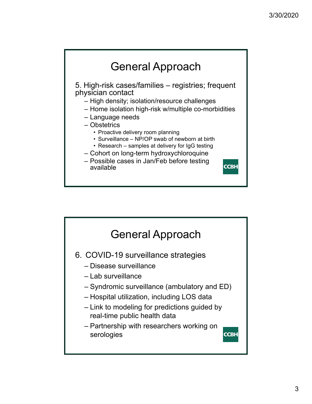

• Research – samples at delivery for IgG testing

**CCBH** 

- Cohort on long-term hydroxychloroquine
- Possible cases in Jan/Feb before testing available

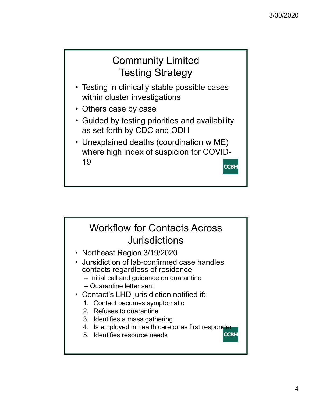## Community Limited Testing Strategy

- Testing in clinically stable possible cases within cluster investigations
- Others case by case
- Guided by testing priorities and availability as set forth by CDC and ODH
- Unexplained deaths (coordination w ME) where high index of suspicion for COVID-19 **CCBH**

## Workflow for Contacts Across **Jurisdictions**

- Northeast Region 3/19/2020
- Jursidiction of lab-confirmed case handles contacts regardless of residence
	- Initial call and guidance on quarantine
	- Quarantine letter sent
- Contact's LHD jurisidiction notified if:
	- 1. Contact becomes symptomatic
	- 2. Refuses to quarantine
	- 3. Identifies a mass gathering
	- 4. Is employed in health care or as first responder **CCBH**
	- 5. Identifies resource needs